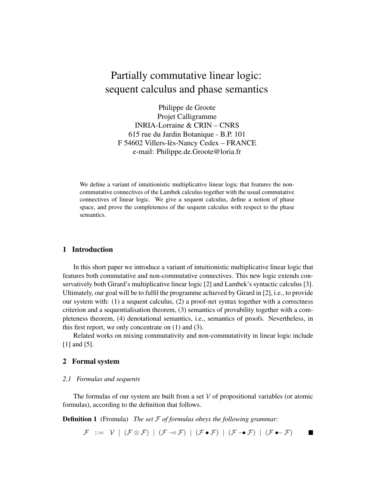# Partially commutative linear logic: sequent calculus and phase semantics

Philippe de Groote Projet Calligramme INRIA-Lorraine & CRIN – CNRS 615 rue du Jardin Botanique - B.P. 101 F 54602 Villers-lès-Nancy Cedex – FRANCE e-mail: Philippe.de.Groote@loria.fr

We define a variant of intuitionistic multiplicative linear logic that features the noncommutative connectives of the Lambek calculus together with the usual commutative connectives of linear logic. We give a sequent calculus, define a notion of phase space, and prove the completeness of the sequent calculus with respect to the phase semantics.

### **1 Introduction**

In this short paper we introduce a variant of intuitionistic multiplicative linear logic that features both commutative and non-commutative connectives. This new logic extends conservatively both Girard's multiplicative linear logic [2] and Lambek's syntactic calculus [3]. Ultimately, our goal will be to fulfil the programme achieved by Girard in [2], i.e., to provide our system with: (1) a sequent calculus, (2) a proof-net syntax together with a correctness criterion and a sequentialisation theorem, (3) semantics of provability together with a completeness theorem, (4) denotational semantics, i.e., semantics of proofs. Nevertheless, in this first report, we only concentrate on (1) and (3).

Related works on mixing commutativity and non-commutativity in linear logic include [1] and [5].

## **2 Formal system**

#### *2.1 Formulas and sequents*

The formulas of our system are built from a set  $V$  of propositional variables (or atomic formulas), according to the definition that follows.

**Definition 1** (Fromula) *The set* F *of formulas obeys the following grammar:*

 $\mathcal{F}$  ::=  $\mathcal{V}$  |  $(\mathcal{F} \otimes \mathcal{F})$  |  $(\mathcal{F} \multimap \mathcal{F})$  |  $(\mathcal{F} \multimap \mathcal{F})$  |  $(\mathcal{F} \multimap \mathcal{F})$  |  $(\mathcal{F} \multimap \mathcal{F})$  $\blacksquare$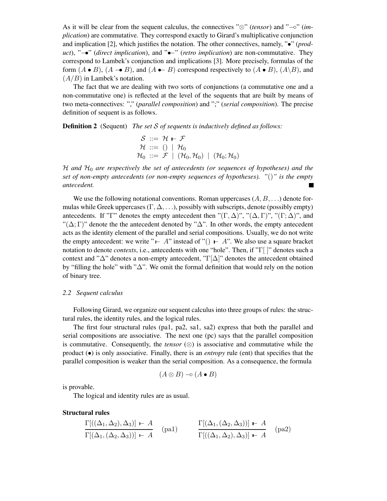As it will be clear from the sequent calculus, the connectives "⊗" (*tensor*) and "−∘" (*implication*) are commutative. They correspond exactly to Girard's multiplicative conjunction and implication [2], which justifies the notation. The other connectives, namely, "•" (*product*), " $\rightarrow$ " (*direct implication*), and " $\rightarrow$ " (*retro implication*) are non-commutative. They correspond to Lambek's conjunction and implications [3]. More precisely, formulas of the form  $(A \bullet B)$ ,  $(A \to B)$ , and  $(A \bullet B)$  correspond respectively to  $(A \bullet B)$ ,  $(A \setminus B)$ , and  $(A/B)$  in Lambek's notation.

The fact that we are dealing with two sorts of conjunctions (a commutative one and a non-commutative one) is reflected at the level of the sequents that are built by means of two meta-connectives: "," (*parallel composition*) and ";" (*serial composition*). The precise definition of sequent is as follows.

**Definition 2** (Sequent) *The set* S *of sequents is inductively defined as follows:*

$$
\begin{array}{l}\n\mathcal{S} ::= \mathcal{H} \vdash \mathcal{F} \\
\mathcal{H} ::= () \mid \mathcal{H}_0 \\
\mathcal{H}_0 ::= \mathcal{F} \mid (\mathcal{H}_0, \mathcal{H}_0) \mid (\mathcal{H}_0; \mathcal{H}_0)\n\end{array}
$$

H *and* H<sup>0</sup> *are respectively the set of antecedents (or sequences of hypotheses) and the set of non-empty antecedents (or non-empty sequences of hypotheses). "*()*" is the empty antecedent.*

We use the following notational conventions. Roman uppercases  $(A, B, \ldots)$  denote formulas while Greek uppercases  $(\Gamma, \Delta, \ldots)$ , possibly with subscripts, denote (possibly empty) antecedents. If "Γ" denotes the empty antecedent then " $(\Gamma, \Delta)$ ", " $(\Delta, \Gamma)$ ", " $(\Gamma; \Delta)$ ", and "( $\Delta$ ; Γ)" denote the the antecedent denoted by " $\Delta$ ". In other words, the empty antecedent acts as the identity element of the parallel and serial compositions. Usually, we do not write the empty antecedent: we write " $\vdash A$ " instead of "()  $\vdash A$ ". We also use a square bracket notation to denote *contexts*, i.e., antecedents with one "hole". Then, if "Γ[ ]" denotes such a context and " $\Delta$ " denotes a non-empty antecedent, "Γ[ $\Delta$ ]" denotes the antecedent obtained by "filling the hole" with "∆". We omit the formal definition that would rely on the notion of binary tree.

#### *2.2 Sequent calculus*

Following Girard, we organize our sequent calculus into three groups of rules: the structural rules, the identity rules, and the logical rules.

The first four structural rules (pa1, pa2, sa1, sa2) express that both the parallel and serial compositions are associative. The next one (pc) says that the parallel composition is commutative. Consequently, the *tensor*  $(\otimes)$  is associative and commutative while the product (•) is only associative. Finally, there is an *entropy* rule (ent) that specifies that the parallel composition is weaker than the serial composition. As a consequence, the formula

$$
(A \otimes B) \negthinspace \circ \negthinspace (A \bullet B)
$$

is provable.

The logical and identity rules are as usual.

**Structural rules**

$$
\frac{\Gamma[(\Delta_1, \Delta_2), \Delta_3)] \vdash A}{\Gamma[(\Delta_1, (\Delta_2, \Delta_3))] \vdash A} \quad (\text{pal}) \qquad \frac{\Gamma[(\Delta_1, (\Delta_2, \Delta_3))] \vdash A}{\Gamma[(\Delta_1, \Delta_2), \Delta_3)] \vdash A} \quad (\text{pa2})
$$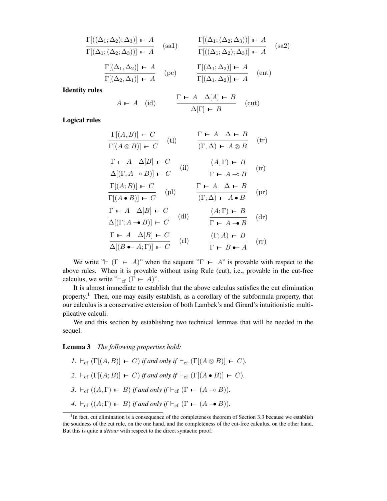$$
\frac{\Gamma[(\Delta_1; \Delta_2); \Delta_3)] \vdash A}{\Gamma[(\Delta_1; (\Delta_2; \Delta_3))] \vdash A} \quad \text{(sa1)} \qquad \frac{\Gamma[(\Delta_1; (\Delta_2; \Delta_3))] \vdash A}{\Gamma[(\Delta_1; \Delta_2); \Delta_3)] \vdash A} \quad \text{(sa2)}
$$
\n
$$
\frac{\Gamma[(\Delta_1, \Delta_2)] \vdash A}{\Gamma[(\Delta_2, \Delta_1)] \vdash A} \quad \text{(pc)} \qquad \frac{\Gamma[(\Delta_1; \Delta_2)] \vdash A}{\Gamma[(\Delta_1, \Delta_2)] \vdash A} \quad \text{(ent)}
$$
\nIdentity rules

\n
$$
A \vdash A \quad \text{(id)} \qquad \frac{\Gamma \vdash A \quad \Delta[A] \vdash B}{\Delta[\Gamma] \vdash B} \quad \text{(cut)}
$$

**Logical rules**

$$
\frac{\Gamma[(A, B)] \vdash C}{\Gamma[(A \otimes B)] \vdash C} \quad \text{(tl)} \qquad \frac{\Gamma \vdash A \quad \Delta \vdash B}{(\Gamma, \Delta) \vdash A \otimes B} \quad \text{(tr)}
$$
\n
$$
\frac{\Gamma \vdash A \quad \Delta[B] \vdash C}{\Delta[(\Gamma, A \multimap B)] \vdash C} \quad \text{(il)} \qquad \frac{(A, \Gamma) \vdash B}{\Gamma \vdash A \multimap B} \quad \text{(ir)}
$$
\n
$$
\frac{\Gamma[(A; B)] \vdash C}{\Gamma[(A \bullet B)] \vdash C} \quad \text{(pl)} \qquad \frac{\Gamma \vdash A \quad \Delta \vdash B}{(\Gamma; \Delta) \vdash A \bullet B} \quad \text{(pr)}
$$
\n
$$
\frac{\Gamma \vdash A \quad \Delta[B] \vdash C}{\Delta[(\Gamma; A \multimap B)] \vdash C} \quad \text{(dl)} \qquad \frac{(A; \Gamma) \vdash B}{\Gamma \vdash A \multimap B} \quad \text{(dr)}
$$
\n
$$
\frac{\Gamma \vdash A \quad \Delta[B] \vdash C}{\Delta[(B \bullet A; \Gamma)] \vdash C} \quad \text{(rl)} \qquad \frac{(\Gamma; A) \vdash B}{\Gamma \vdash B \bullet A} \quad \text{(rr)}
$$

We write " $\Gamma$   $\Gamma$   $\vdash$  A)" when the sequent " $\Gamma$   $\vdash$  A" is provable with respect to the above rules. When it is provable without using Rule (cut), i.e., provable in the cut-free calculus, we write " $\vdash_{cf} (\Gamma \vdash A)$ ".

It is almost immediate to establish that the above calculus satisfies the cut elimination property.<sup>1</sup> Then, one may easily establish, as a corollary of the subformula property, that our calculus is a conservative extension of both Lambek's and Girard's intuitionistic multiplicative calculi.

We end this section by establishing two technical lemmas that will be needed in the sequel.

**Lemma 3** *The following properties hold:*

\n- $$
I. \vdash_{cf} (\Gamma[(A, B)] \vdash C)
$$
 if and only if  $\vdash_{cf} (\Gamma[(A \otimes B)] \vdash C)$ .
\n- $\vdash_{cf} (\Gamma[(A; B)] \vdash C)$  if and only if  $\vdash_{cf} (\Gamma[(A \bullet B)] \vdash C)$ .
\n- $\vdash_{cf} ((A, \Gamma) \vdash B)$  if and only if  $\vdash_{cf} (\Gamma \vdash (A \multimap B))$ .
\n- $\vdash_{cf} ((A; \Gamma) \vdash B)$  if and only if  $\vdash_{cf} (\Gamma \vdash (A \rightarrow B))$ .
\n

<sup>&</sup>lt;sup>1</sup>In fact, cut elimination is a consequence of the completeness theorem of Section 3.3 because we establish the soudness of the cut rule, on the one hand, and the completeness of the cut-free calculus, on the other hand. But this is quite a *détour* with respect to the direct syntactic proof.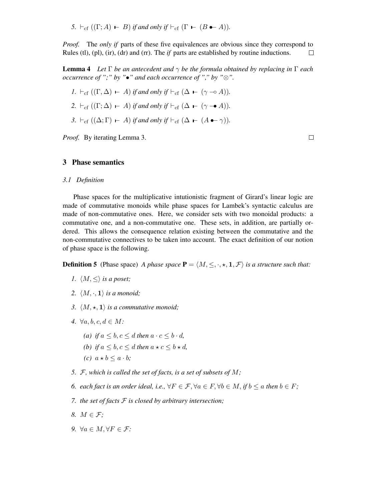*5.*  $\vdash_{cf} ((\Gamma; A) \vdash B)$  *if and only if*  $\vdash_{cf} (\Gamma \vdash (B \bullet \neg A))$ *.* 

*Proof.* The *only if* parts of these five equivalences are obvious since they correspond to Rules (tl), (pl), (ir), (dr) and (rr). The *if* parts are established by routine inductions.  $\Box$ 

**Lemma 4** *Let*  $\Gamma$  *be an antecedent and*  $\gamma$  *be the formula obtained by replacing in*  $\Gamma$  *each occurrence of* ";" *by* " $\bullet$ " *and each occurrence of* "," *by* " $\otimes$ ".

$$
I. \vdash_{\mathrm{cf}} ((\Gamma, \Delta) \vdash A) \text{ if and only if } \vdash_{\mathrm{cf}} (\Delta \vdash (\gamma \multimap A)).
$$

2. 
$$
\vdash_{\text{cf}} ((\Gamma; \Delta) \vdash A) \text{ if and only if } \vdash_{\text{cf}} (\Delta \vdash (\gamma \rightarrow A)).
$$

*3.*  $\vdash_{\text{cf}} ((\Delta; \Gamma) \vdash A)$  *if and only if*  $\vdash_{\text{cf}} (\Delta \vdash (A \bullet \neg \gamma))$ *.* 

*Proof.* By iterating Lemma 3.

 $\Box$ 

### **3 Phase semantics**

*3.1 Definition*

Phase spaces for the multiplicative intutionistic fragment of Girard's linear logic are made of commutative monoids while phase spaces for Lambek's syntactic calculus are made of non-commutative ones. Here, we consider sets with two monoidal products: a commutative one, and a non-commutative one. These sets, in addition, are partially ordered. This allows the consequence relation existing between the commutative and the non-commutative connectives to be taken into account. The exact definition of our notion of phase space is the following.

**Definition 5** (Phase space) *A phase space*  $P = \langle M, \leq, \cdot, \star, 1, \mathcal{F} \rangle$  *is a structure such that:* 

- *1.*  $\langle M, \leq \rangle$  *is a poset;*
- 2.  $\langle M, \cdot, 1 \rangle$  *is a monoid;*
- *3.*  $\langle M, \star, 1 \rangle$  *is a commutative monoid;*
- *4.* ∀*a*, *b*, *c*, *d* ∈ *M*:
	- *(a) if*  $a \leq b, c \leq d$  *then*  $a \cdot c \leq b \cdot d$ *,*
	- *(b) if*  $a \leq b, c \leq d$  *then*  $a \star c \leq b \star d$ *,*
	- *(c)*  $a * b \leq a \cdot b$ ;
- *5.* F*, which is called the set of facts, is a set of subsets of* M*;*
- *6. each fact is an order ideal, i.e.,*  $\forall F \in \mathcal{F}, \forall a \in F, \forall b \in M, if b \leq a$  *then*  $b \in F$ ;
- *7. the set of facts* F *is closed by arbitrary intersection;*
- *8.* M ∈ F*;*
- *9.* ∀a ∈ M, ∀F ∈ F*:*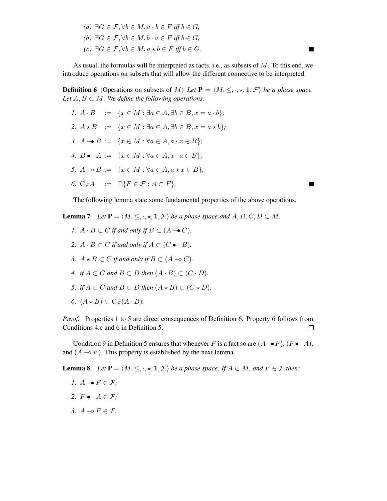*(a)* ∃ $G \in \mathcal{F}$ ,  $\forall b \in M$ ,  $a \cdot b \in F$  *iff*  $b \in G$ *, (b)* ∃ $G \in \mathcal{F}$ ,  $\forall b \in M$ ,  $b \cdot a \in F$  *iff*  $b \in G$ *, (c)* ∃ $G \in \mathcal{F}$ ,  $\forall b \in M$ ,  $a \star b \in F$  *iff*  $b \in G$ *.* 

As usual, the formulas will be interpreted as facts, i.e., as subsets of  $M$ . To this end, we introduce operations on subsets that will allow the different connective to be interpreted.

ш

ш

**Definition 6** (Operations on subsets of M) Let  $P = \langle M, \leq, \cdot, \star, \mathbf{1}, \mathcal{F} \rangle$  be a phase space. *Let*  $A, B \subset M$ *. We define the following operations:* 

- *1.*  $A \cdot B := \{x \in M : \exists a \in A, \exists b \in B, x = a \cdot b\};\$ 2.  $A \star B := \{x \in M : \exists a \in A, \exists b \in B, x = a \star b\}.$ *3.*  $A \rightarrow B := \{x \in M : \forall a \in A, a \cdot x \in B\}$ ; *4.*  $B \bullet A := \{x \in M : \forall a \in A, x \cdot a \in B\}$ ; *5.*  $A \neg oB := \{x \in M : \forall a \in A, a \star x \in B\}$ ;
- 6.  $C_{\mathcal{F}}A$  :=  $\bigcap \{F \in \mathcal{F} : A \subset F\}.$

The following lemma state some fundamental properties of the above operations.

**Lemma 7** *Let*  $P = \langle M, \leq, \cdot, \star, \mathbf{1}, \mathcal{F} \rangle$  *be a phase space and*  $A, B, C, D \subset M$ .

- *1.*  $A \cdot B \subset C$  *if and only if*  $B \subset (A \rightarrow C)$ *.*
- *2.*  $A \cdot B \subset C$  *if and only if*  $A \subset (C \rightarrow B)$ *.*
- *3.*  $A \star B \subset C$  *if and only if*  $B \subset (A \multimap C)$ *.*
- *4. if*  $A \subset C$  *and*  $B \subset D$  *then*  $(A \cdot B) \subset (C \cdot D)$ *.*
- *5. if*  $A \subset C$  *and*  $B \subset D$  *then*  $(A \star B) \subset (C \star D)$ *.*
- 6.  $(A \star B) \subset C_{\mathcal{F}}(A \cdot B)$ .

*Proof.* Properties 1 to 5 are direct consequences of Definition 6. Property 6 follows from Conditions 4.c and 6 in Definition 5.  $\Box$ 

Condition 9 in Definition 5 ensures that whenever F is a fact so are  $(A \rightarrow F)$ ,  $(F \rightarrow A)$ , and  $(A \neg o F)$ . This property is established by the next lemma.

**Lemma 8** *Let*  $P = \langle M, \leq, \cdot, \star, 1, \mathcal{F} \rangle$  *be a phase space.* If  $A \subset M$ *, and*  $F \in \mathcal{F}$  *then:* 

- *1.*  $A \rightarrow F \in \mathcal{F}$ ;
- 2.  $F \bullet \vdash A \in \mathcal{F}$ ;
- *3.*  $A → ∂ F ∈ F$ .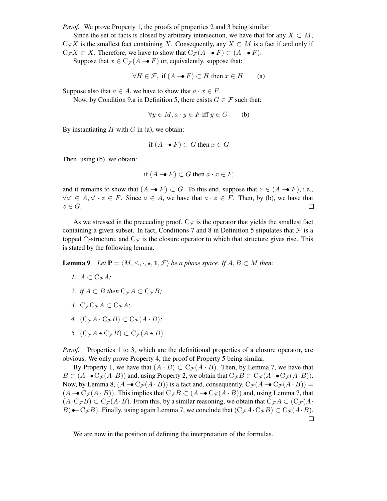*Proof.* We prove Property 1, the proofs of properties 2 and 3 being similar.

Since the set of facts is closed by arbitrary intersection, we have that for any  $X \subset M$ ,  $C_{\mathcal{F}}X$  is the smallest fact containing X. Consequently, any  $X \subset M$  is a fact if and only if  $C_{\mathcal{F}}X \subset X$ . Therefore, we have to show that  $C_{\mathcal{F}}(A \rightarrow F) \subset (A \rightarrow F)$ .

Suppose that  $x \in C_{\mathcal{F}}(A \rightarrow F)$  or, equivalently, suppose that:

$$
\forall H \in \mathcal{F}, \text{ if } (A \rightarrow F) \subset H \text{ then } x \in H \qquad \text{(a)}
$$

Suppose also that  $a \in A$ , we have to show that  $a \cdot x \in F$ .

Now, by Condition 9.a in Definition 5, there exists  $G \in \mathcal{F}$  such that:

$$
\forall y \in M, a \cdot y \in F \text{ iff } y \in G \qquad (b)
$$

By instantiating  $H$  with  $G$  in (a), we obtain:

if 
$$
(A \rightarrow F) \subset G
$$
 then  $x \in G$ 

Then, using (b), we obtain:

if 
$$
(A \rightarrow F) \subset G
$$
 then  $a \cdot x \in F$ ,

and it remains to show that  $(A \rightarrow F) \subset G$ . To this end, suppose that  $z \in (A \rightarrow F)$ , i.e.,  $\forall a' \in A, a' \cdot z \in F$ . Since  $a \in A$ , we have that  $a \cdot z \in F$ . Then, by (b), we have that  $z \in G$ .

As we stressed in the preceeding proof,  $C_{\mathcal{F}}$  is the operator that yields the smallest fact containing a given subset. In fact, Conditions 7 and 8 in Definition 5 stipulates that  $\mathcal F$  is a topped  $\bigcap$ -structure, and  $C_{\mathcal{F}}$  is the closure operator to which that structure gives rise. This is stated by the following lemma.

**Lemma 9** *Let*  $P = \langle M, \leq, \cdot, \star, 1, \mathcal{F} \rangle$  *be a phase space. If*  $A, B \subset M$  *then:* 

- *1.*  $A \subset C_{\mathcal{F}}A$ ;
- 2. *if*  $A \subset B$  *then*  $C_{\mathcal{F}}A \subset C_{\mathcal{F}}B$ ;
- *3.*  $C_{\mathcal{F}}C_{\mathcal{F}}A \subset C_{\mathcal{F}}A$ ;
- *4.*  $(C_{\mathcal{F}}A \cdot C_{\mathcal{F}}B) \subset C_{\mathcal{F}}(A \cdot B)$ ;
- *5.*  $(C_{\mathcal{F}}A \star C_{\mathcal{F}}B) \subset C_{\mathcal{F}}(A \star B)$ *.*

*Proof.* Properties 1 to 3, which are the definitional properties of a closure operator, are obvious. We only prove Property 4, the proof of Property 5 being similar.

By Property 1, we have that  $(A \cdot B) \subset C_{\mathcal{F}}(A \cdot B)$ . Then, by Lemma 7, we have that  $B \subset (A \rightarrow C_{\mathcal{F}}(A \cdot B))$  and, using Property 2, we obtain that  $C_{\mathcal{F}}B \subset C_{\mathcal{F}}(A \rightarrow C_{\mathcal{F}}(A \cdot B)).$ Now, by Lemma 8,  $(A - \mathbf{C}_{\mathcal{F}}(A \cdot B))$  is a fact and, consequently,  $C_{\mathcal{F}}(A - \mathbf{C}_{\mathcal{F}}(A \cdot B)) =$  $(A \rightarrow C_{\mathcal{F}}(A \cdot B))$ . This implies that  $C_{\mathcal{F}}B \subset (A \rightarrow C_{\mathcal{F}}(A \cdot B))$  and, using Lemma 7, that  $(A \cdot C_{\mathcal{F}}B) \subset C_{\mathcal{F}}(A \cdot B)$ . From this, by a similar reasoning, we obtain that  $C_{\mathcal{F}}A \subset (C_{\mathcal{F}}(A \cdot B))$ B)  $\bullet$  - C<sub>F</sub>B). Finally, using again Lemma 7, we conclude that  $(C_{\mathcal{F}}A \cdot C_{\mathcal{F}}B) \subset C_{\mathcal{F}}(A \cdot B)$ .

We are now in the position of defining the interpretation of the formulas.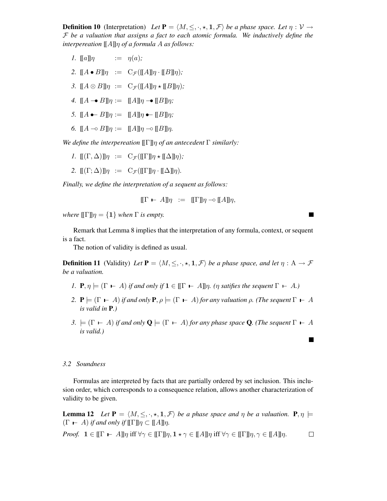**Definition 10** (Interpretation) *Let*  $P = \langle M, \leq, \cdot, \star, 1, \mathcal{F} \rangle$  *be a phase space. Let*  $\eta : V \to V$ F *be a valuation that assigns a fact to each atomic formula. We inductively define the interpereation* [[A]]η *of a formula* A *as follows:*

- *1.*  $\llbracket a \rrbracket \eta$  :=  $\eta(a)$ ;
- 2.  $[[A \bullet B]]\eta := C_{\mathcal{F}}([ [A]]\eta \cdot [[B]]\eta);$
- *3.*  $[[A \otimes B]]\eta := C_{\mathcal{F}}([[A]]\eta \star [[B]]\eta);$
- *4.*  $[[A \rightarrow B]]\eta := [[A]]\eta \rightarrow [[B]]\eta;$
- *5.*  $[[A \bullet B]]\eta := [[A]]\eta \bullet [[B]]\eta;$
- *6.*  $[[A \neg \circ B]]\eta := [[A]]\eta \neg \circ [[B]]\eta.$

*We define the interpereation* [[Γ]]η *of an antecedent* Γ *similarly:*

- *1.*  $\mathbb{I}(\Gamma, \Delta) \mathbb{I} \eta := C_{\mathcal{F}}(\mathbb{I} \Gamma \mathbb{I} \eta \star \mathbb{I} \Delta \mathbb{I} \eta);$
- 2.  $[(\Gamma; \Delta)]\eta := C_{\mathcal{F}}([\Gamma]\eta \cdot [\Delta]\eta).$

*Finally, we define the interpretation of a sequent as follows:*

$$
\llbracket \Gamma \vdash A \rrbracket \eta \ := \ \llbracket \Gamma \rrbracket \eta \multimap \llbracket A \rrbracket \eta,
$$

*where*  $[\![\Gamma]\!] \eta = \{1\}$  *when*  $\Gamma$  *is empty.* 

Remark that Lemma 8 implies that the interpretation of any formula, context, or sequent is a fact.

The notion of validity is defined as usual.

**Definition 11** (Validity) Let  $P = \langle M, \leq, \cdot, \star, 1, \mathcal{F} \rangle$  be a phase space, and let  $\eta : A \to \mathcal{F}$ *be a valuation.*

- *1.*  $P, \eta \models (\Gamma \vdash A)$  *if and only if*  $\mathbf{1} \in [[\Gamma \vdash A]]\eta$ *. (* $\eta$  *satifies the sequent*  $\Gamma \vdash A$ *.)*
- *2.*  $P \models (\Gamma \vdash A)$  *if and only*  $P, \rho \models (\Gamma \vdash A)$  *for any valuation*  $\rho$ *. (The sequent*  $\Gamma \vdash A$ *is valid in* **P***.)*
- *3.*  $\models$  ( $\Gamma$  ⊢ A) *if and only*  $\mathbf{Q}$   $\models$  ( $\Gamma$  ⊢ A) *for any phase space* **Q***. (The sequent*  $\Gamma$  ⊢ A *is valid.)*

#### *3.2 Soundness*

Formulas are interpreted by facts that are partially ordered by set inclusion. This inclusion order, which corresponds to a consequence relation, allows another characterization of validity to be given.

**Lemma** 12 *Let*  $P = \langle M, \leq, \cdot, \star, 1, \mathcal{F} \rangle$  *be a phase space and*  $\eta$  *be a valuation.*  $P, \eta \models$  $(\Gamma \vdash A)$  *if and only if*  $\llbracket \Gamma \rrbracket \eta \subset \llbracket A \rrbracket \eta$ .

*Proof.*  $\mathbf{1} \in [\![\Gamma \ \vdash \ A]\!] \eta$  iff  $\forall \gamma \in [\![\Gamma]\!] \eta, \mathbf{1} \star \gamma \in [\![A]\!] \eta$  iff  $\forall \gamma \in [\![\Gamma]\!] \eta, \gamma \in [\![A]\!] \eta$ .  $\Box$ 

П

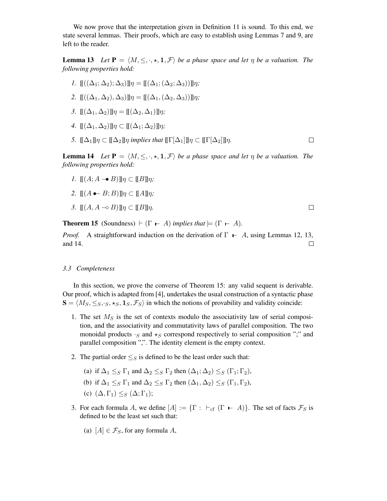We now prove that the interpretation given in Definition 11 is sound. To this end, we state several lemmas. Their proofs, which are easy to establish using Lemmas 7 and 9, are left to the reader.

**Lemma 13** *Let*  $P = \langle M, \leq, \cdot, \star, 1, \mathcal{F} \rangle$  *be a phase space and let*  $\eta$  *be a valuation. The following properties hold:*

- *1.*  $\mathop{\rm l\mathstrut l}\nolimits((\Delta_1; \Delta_2); \Delta_3)\mathop{\rm l\negthinspace l}\nolimits\eta = \mathop{\rm l\mathstrut l}\nolimits(\Delta_1; (\Delta_2; \Delta_3))\mathop{\rm l\negthinspace l}\nolimits\eta;$
- 2.  $[\mathbb{I}((\Delta_1, \Delta_2), \Delta_3)]\eta = [\mathbb{I}(\Delta_1, (\Delta_2, \Delta_3))]\eta;$
- *3.*  $[(\Delta_1, \Delta_2)]\eta = [[(\Delta_2, \Delta_1)]\eta$ ;
- *4.*  $[(\Delta_1, \Delta_2)] \eta \subset [[(\Delta_1; \Delta_2)] \eta;$
- *5.*  $[\![\Delta_1]\!] \eta \subset [\![\Delta_2]\!] \eta$  *implies that*  $[\![\Gamma[\Delta_1]\!] \eta \subset [\![\Gamma[\Delta_2]\!] \eta$ *.*  $\Box$

**Lemma 14** *Let*  $P = \langle M, \leq, \cdot, \star, 1, \mathcal{F} \rangle$  *be a phase space and let*  $\eta$  *be a valuation. The following properties hold:*

- *1.*  $\mathbb{I}(A; A \rightarrow B) \mathbb{I} \eta \subset \mathbb{I}(B) \mathbb{I} \eta;$
- 2.  $\mathbb{I}(A \rightarrow B; B) \mathbb{I} \eta \subset \mathbb{I} A \mathbb{I} \eta;$
- *3.*  $\llbracket (A, A \multimap B) \rrbracket \eta \subset \llbracket B \rrbracket \eta$ .

 $\Box$ 

**Theorem 15** (Soundness)  $\vdash (\Gamma \vdash A)$  *implies that*  $\models (\Gamma \vdash A)$ *.* 

*Proof.* A straightforward induction on the derivation of  $\Gamma$  − A, using Lemmas 12, 13, and 14. and 14.

#### *3.3 Completeness*

In this section, we prove the converse of Theorem 15: any valid sequent is derivable. Our proof, which is adapted from [4], undertakes the usual construction of a syntactic phase  $\mathbf{S} = \langle M_S, \leq_S, \cdot_S, \star_S, \mathbf{1}_S, \mathcal{F}_S \rangle$  in which the notions of provability and validity coincide:

- 1. The set  $M<sub>S</sub>$  is the set of contexts modulo the associativity law of serial composition, and the associativity and commutativity laws of parallel composition. The two monoidal products  $\cdot$ <sub>S</sub> and  $\star$ <sub>S</sub> correspond respectively to serial composition ";" and parallel composition ",". The identity element is the empty context.
- 2. The partial order  $\leq_S$  is defined to be the least order such that:
	- (a) if  $\Delta_1 \leq_S \Gamma_1$  and  $\Delta_2 \leq_S \Gamma_2$  then  $(\Delta_1; \Delta_2) \leq_S (\Gamma_1; \Gamma_2)$ ,
	- (b) if  $\Delta_1 \leq_S \Gamma_1$  and  $\Delta_2 \leq_S \Gamma_2$  then  $(\Delta_1, \Delta_2) \leq_S (\Gamma_1, \Gamma_2)$ ,
	- (c)  $(\Delta, \Gamma_1) \leq_S (\Delta; \Gamma_1);$
- 3. For each formula A, we define  $[A] := \{\Gamma : \vdash_{cf} (\Gamma \vdash A)\}\)$ . The set of facts  $\mathcal{F}_S$  is defined to be the least set such that:
	- (a)  $[A] \in \mathcal{F}_S$ , for any formula A,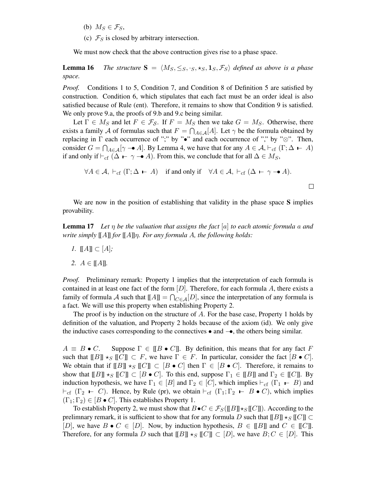- (b)  $M_S \in \mathcal{F}_S$ ,
- (c)  $\mathcal{F}_S$  is closed by arbitrary intersection.

We must now check that the above contruction gives rise to a phase space.

**Lemma 16** *The structure*  $S = \langle M_S, \leq_S, \cdot_S, \star_S, \cdot_S, \star_S, \cdot_S \rangle$  *defined as above is a phase space.*

*Proof.* Conditions 1 to 5, Condition 7, and Condition 8 of Definition 5 are satisfied by construction. Condition 6, which stipulates that each fact must be an order ideal is also satisfied because of Rule (ent). Therefore, it remains to show that Condition 9 is satisfied. We only prove 9.a, the proofs of 9.b and 9.c being similar.

Let  $\Gamma \in M_S$  and let  $F \in \mathcal{F}_{\mathcal{S}}$ . If  $F = M_S$  then we take  $G = M_S$ . Otherwise, there exists a family A of formulas such that  $F = \bigcap_{A \in \mathcal{A}} [A]$ . Let  $\gamma$  be the formula obtained by replacing in  $\Gamma$  each occurrence of "," by " $\bullet$ " and each occurrence of "," by " $\otimes$ ". Then, consider  $G = \bigcap_{A \in \mathcal{A}} [\gamma \to A]$ . By Lemma 4, we have that for any  $A \in \mathcal{A}, \vdash_{cf} (\Gamma; \Delta \vdash A)$ if and only if  $\vdash_{cf} (\Delta \vdash \gamma \rightarrow A)$ . From this, we conclude that for all  $\Delta \in M_S$ ,

$$
\forall A \in \mathcal{A}, \vdash_{cf} (\Gamma; \Delta \vdash A) \text{ if and only if } \forall A \in \mathcal{A}, \vdash_{cf} (\Delta \vdash \gamma \rightarrow A).
$$

We are now in the position of establishing that validity in the phase space **S** implies provability.

**Lemma 17** *Let* η *be the valuation that assigns the fact* [a] *to each atomic formula* a *and write simply* [[A]] *for* [[A]]η*. For any formula* A*, the following holds:*

- *1.*  $[[A]] ⊂ [A]$ ;
- *2.*  $A \in [[A]]$ .

*Proof.* Preliminary remark: Property 1 implies that the interpretation of each formula is contained in at least one fact of the form  $[D]$ . Therefore, for each formula A, there exists a family of formula A such that  $[[A]] = \bigcap_{C \in \mathcal{A}} [D]$ , since the interpretation of any formula is a fact. We will use this property when establishing Property 2.

The proof is by induction on the structure of  $A$ . For the base case, Property 1 holds by definition of the valuation, and Property 2 holds because of the axiom (id). We only give the inductive cases corresponding to the connectives • and −•, the others being similar.

 $A \equiv B \bullet C$ . Suppose  $\Gamma \in \mathbb{T}B \bullet C\mathbb{T}$ . By definition, this means that for any fact F such that  $[[B]] \star_S [[C]] \subset F$ , we have  $\Gamma \in F$ . In particular, consider the fact  $[B \bullet C]$ . We obtain that if  $[[B]] \star_S [[C]] \subset [B \bullet C]$  then  $\Gamma \in [B \bullet C]$ . Therefore, it remains to show that  $[[B]] \star_S [[C]] \subset [B \bullet C]$ . To this end, suppose  $\Gamma_1 \in [[B]]$  and  $\Gamma_2 \in [[C]]$ . By induction hypothesis, we have  $\Gamma_1 \in [B]$  and  $\Gamma_2 \in [C]$ , which implies  $\vdash_{cf} (\Gamma_1 \vdash B)$  and  $\vdash_{cf}$  (Γ<sub>2</sub> – C). Hence, by Rule (pr), we obtain  $\vdash_{cf}$  (Γ<sub>1</sub>; Γ<sub>2</sub> – B • C), which implies  $(\Gamma_1; \Gamma_2) \in [B \bullet C]$ . This establishes Property 1.

To establish Property 2, we must show that  $B \bullet C \in \mathcal{F}_S([\![B]\!] \star_S [\![C]\!]$ ). According to the prelimnary remark, it is sufficient to show that for any formula D such that  $[[B]] \star_S [[C]] \subset$ [D], we have  $B \bullet C \in [D]$ . Now, by induction hypothesis,  $B \in [B]$  and  $C \in [C]$ . Therefore, for any formula D such that  $[[B]] \star_S [[C]] \subset [D]$ , we have  $B; C \in [D]$ . This